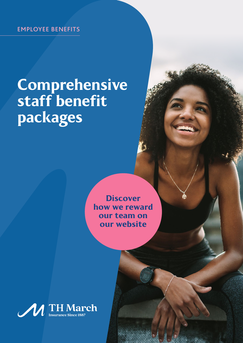## Comprehensive staff benefit packages

**Discover** [how we reward](https://www.thmarch.co.uk/about-us/join-our-team/) our team on our website